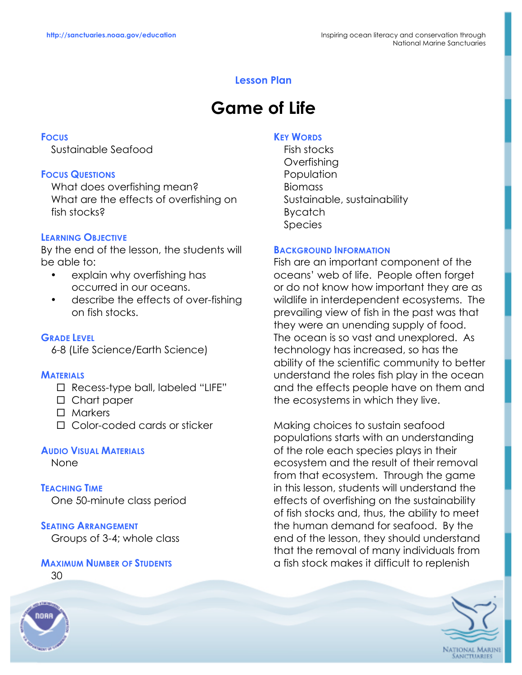# **Lesson Plan**

# **Game of Life**

### **FOCUS**

Sustainable Seafood

## **FOCUS QUESTIONS**

What does overfishing mean? What are the effects of overfishing on fish stocks?

## **LEARNING OBJECTIVE**

By the end of the lesson, the students will be able to:

- explain why overfishing has occurred in our oceans.
- describe the effects of over-fishing on fish stocks.

**GRADE LEVEL** 6-8 (Life Science/Earth Science)

#### **MATERIALS**

- $\Box$  Recess-type ball, labeled "LIFE"
- □ Chart paper
- $\Box$  Markers
- $\Box$  Color-coded cards or sticker

#### **AUDIO VISUAL MATERIALS**

None

**TEACHING TIME** One 50-minute class period

## **SEATING ARRANGEMENT**

Groups of 3-4; whole class

#### **MAXIMUM NUMBER OF STUDENTS**

30



#### **KEY WORDS**

Fish stocks **Overfishing Population** Biomass Sustainable, sustainability Bycatch Species

#### **BACKGROUND INFORMATION**

Fish are an important component of the oceans' web of life. People often forget or do not know how important they are as wildlife in interdependent ecosystems. The prevailing view of fish in the past was that they were an unending supply of food. The ocean is so vast and unexplored. As technology has increased, so has the ability of the scientific community to better understand the roles fish play in the ocean and the effects people have on them and the ecosystems in which they live.

Making choices to sustain seafood populations starts with an understanding of the role each species plays in their ecosystem and the result of their removal from that ecosystem. Through the game in this lesson, students will understand the effects of overfishing on the sustainability of fish stocks and, thus, the ability to meet the human demand for seafood. By the end of the lesson, they should understand that the removal of many individuals from a fish stock makes it difficult to replenish

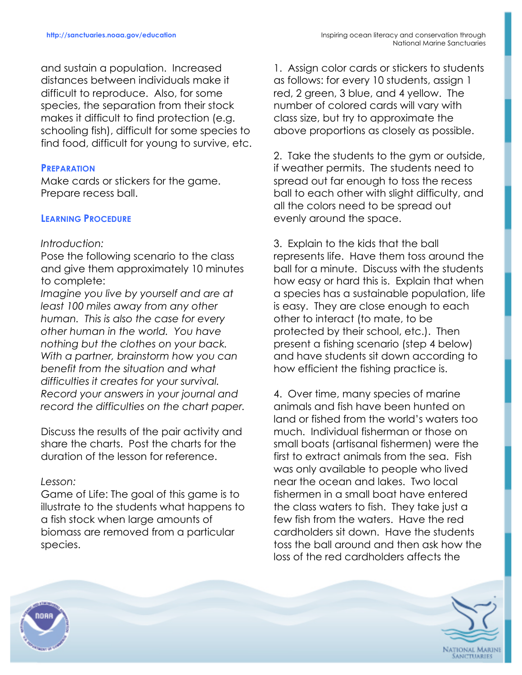and sustain a population. Increased distances between individuals make it difficult to reproduce. Also, for some species, the separation from their stock makes it difficult to find protection (e.g. schooling fish), difficult for some species to find food, difficult for young to survive, etc.

### **PREPARATION**

Make cards or stickers for the game. Prepare recess ball.

## **LEARNING PROCEDURE**

#### *Introduction:*

Pose the following scenario to the class and give them approximately 10 minutes to complete:

*Imagine you live by yourself and are at least 100 miles away from any other human. This is also the case for every other human in the world. You have nothing but the clothes on your back. With a partner, brainstorm how you can benefit from the situation and what difficulties it creates for your survival. Record your answers in your journal and record the difficulties on the chart paper.*

Discuss the results of the pair activity and share the charts. Post the charts for the duration of the lesson for reference.

## *Lesson:*

Game of Life: The goal of this game is to illustrate to the students what happens to a fish stock when large amounts of biomass are removed from a particular species.

1. Assign color cards or stickers to students as follows: for every 10 students, assign 1 red, 2 green, 3 blue, and 4 yellow. The number of colored cards will vary with class size, but try to approximate the above proportions as closely as possible.

2. Take the students to the gym or outside, if weather permits. The students need to spread out far enough to toss the recess ball to each other with slight difficulty, and all the colors need to be spread out evenly around the space.

3. Explain to the kids that the ball represents life. Have them toss around the ball for a minute. Discuss with the students how easy or hard this is. Explain that when a species has a sustainable population, life is easy. They are close enough to each other to interact (to mate, to be protected by their school, etc.). Then present a fishing scenario (step 4 below) and have students sit down according to how efficient the fishing practice is.

4. Over time, many species of marine animals and fish have been hunted on land or fished from the world's waters too much. Individual fisherman or those on small boats (artisanal fishermen) were the first to extract animals from the sea. Fish was only available to people who lived near the ocean and lakes. Two local fishermen in a small boat have entered the class waters to fish. They take just a few fish from the waters. Have the red cardholders sit down. Have the students toss the ball around and then ask how the loss of the red cardholders affects the



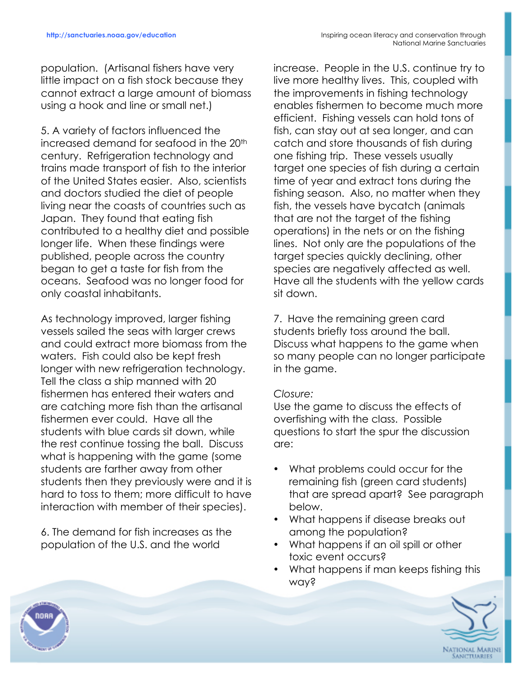population. (Artisanal fishers have very little impact on a fish stock because they cannot extract a large amount of biomass using a hook and line or small net.)

5. A variety of factors influenced the increased demand for seafood in the 20<sup>th</sup> century. Refrigeration technology and trains made transport of fish to the interior of the United States easier. Also, scientists and doctors studied the diet of people living near the coasts of countries such as Japan. They found that eating fish contributed to a healthy diet and possible longer life. When these findings were published, people across the country began to get a taste for fish from the oceans. Seafood was no longer food for only coastal inhabitants.

As technology improved, larger fishing vessels sailed the seas with larger crews and could extract more biomass from the waters. Fish could also be kept fresh longer with new refrigeration technology. Tell the class a ship manned with 20 fishermen has entered their waters and are catching more fish than the artisanal fishermen ever could. Have all the students with blue cards sit down, while the rest continue tossing the ball. Discuss what is happening with the game (some students are farther away from other students then they previously were and it is hard to toss to them; more difficult to have interaction with member of their species).

6. The demand for fish increases as the population of the U.S. and the world

increase. People in the U.S. continue try to live more healthy lives. This, coupled with the improvements in fishing technology enables fishermen to become much more efficient. Fishing vessels can hold tons of fish, can stay out at sea longer, and can catch and store thousands of fish during one fishing trip. These vessels usually target one species of fish during a certain time of year and extract tons during the fishing season. Also, no matter when they fish, the vessels have bycatch (animals that are not the target of the fishing operations) in the nets or on the fishing lines. Not only are the populations of the target species quickly declining, other species are negatively affected as well. Have all the students with the yellow cards sit down.

7. Have the remaining green card students briefly toss around the ball. Discuss what happens to the game when so many people can no longer participate in the game.

# *Closure:*

Use the game to discuss the effects of overfishing with the class. Possible questions to start the spur the discussion are:

- What problems could occur for the remaining fish (green card students) that are spread apart? See paragraph below.
- What happens if disease breaks out among the population?
- What happens if an oil spill or other toxic event occurs?
- What happens if man keeps fishing this way?



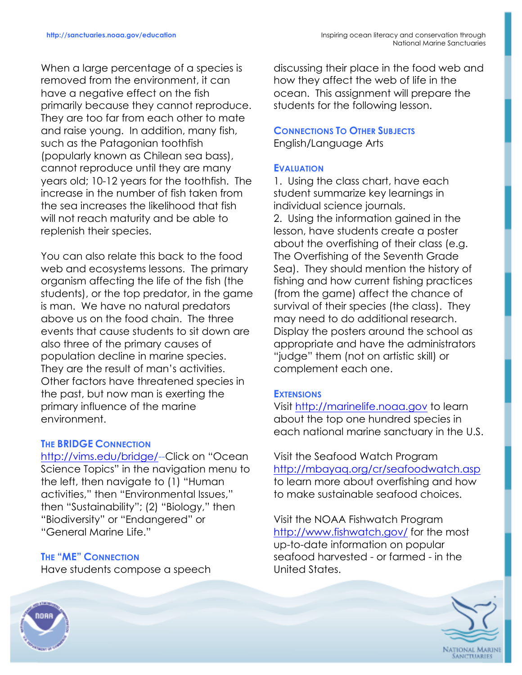When a large percentage of a species is removed from the environment, it can have a negative effect on the fish primarily because they cannot reproduce. They are too far from each other to mate and raise young. In addition, many fish, such as the Patagonian toothfish (popularly known as Chilean sea bass), cannot reproduce until they are many years old; 10-12 years for the toothfish. The increase in the number of fish taken from the sea increases the likelihood that fish will not reach maturity and be able to replenish their species.

You can also relate this back to the food web and ecosystems lessons. The primary organism affecting the life of the fish (the students), or the top predator, in the game is man. We have no natural predators above us on the food chain. The three events that cause students to sit down are also three of the primary causes of population decline in marine species. They are the result of man's activities. Other factors have threatened species in the past, but now man is exerting the primary influence of the marine environment.

# **THE BRIDGE CONNECTION**

http://vims.edu/bridge/--Click on "Ocean Science Topics" in the navigation menu to the left, then navigate to (1) "Human activities," then "Environmental Issues," then "Sustainability"; (2) "Biology," then "Biodiversity" or "Endangered" or "General Marine Life."

# **THE "ME" CONNECTION**

Have students compose a speech

discussing their place in the food web and how they affect the web of life in the ocean. This assignment will prepare the students for the following lesson.

# **CONNECTIONS TO OTHER SUBJECTS** English/Language Arts

# **EVALUATION**

1. Using the class chart, have each student summarize key learnings in individual science journals.

2. Using the information gained in the lesson, have students create a poster about the overfishing of their class (e.g. The Overfishing of the Seventh Grade Sea). They should mention the history of fishing and how current fishing practices (from the game) affect the chance of survival of their species (the class). They may need to do additional research. Display the posters around the school as appropriate and have the administrators "judge" them (not on artistic skill) or complement each one.

# **EXTENSIONS**

Visit http://marinelife.noaa.gov to learn about the top one hundred species in each national marine sanctuary in the U.S.

Visit the Seafood Watch Program http://mbayaq.org/cr/seafoodwatch.asp to learn more about overfishing and how to make sustainable seafood choices.

Visit the NOAA Fishwatch Program http://www.fishwatch.gov/ for the most up-to-date information on popular seafood harvested - or farmed - in the United States.